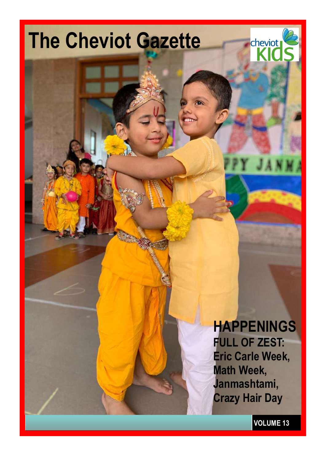

**VOLUME 13**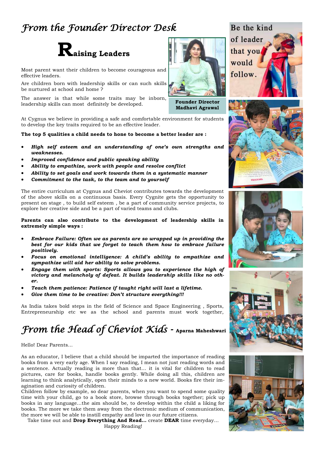### *From the Founder Director Desk*



Most parent want their children to become courageous and effective leaders.

Are children born with leadership skills or can such skills be nurtured at school and home ?

The answer is that while some traits may be inborn, leadership skills can most definitely be developed.

At Cygnus we believe in providing a safe and comfortable environment for students to develop the key traits required to be an effective leader.

#### **The top 5 qualities a child needs to hone to become a better leader are :**

- *High self esteem and an understanding of one's own strengths and weaknesses.*
- *Improved confidence and public speaking ability*
- *Ability to empathize, work with people and resolve conflict*
- *Ability to set goals and work towards them in a systematic manner*
- *Commitment to the task, to the team and to yourself*

The entire curriculum at Cygnus and Cheviot contributes towards the development of the above skills on a continuous basis. Every Cygnite gets the opportunity to present on stage , to build self esteem , be a part of community service projects, to explore her creative side and be a part of varied teams and clubs.

**Parents can also contribute to the development of leadership skills in extremely simple ways :**

- *Embrace Failure: Often we as parents are so wrapped up in providing the best for our kids that we forget to teach them how to embrace failure positively.*
- *Focus on emotional intelligence: A child's ability to empathize and sympathize will aid her ability to solve problems.*
- *Engage them with sports: Sports allows you to experience the high of victory and melancholy of defeat. It builds leadership skills like no other.*
- *Teach them patience: Patience if taught right will last a lifetime.*
- *Give them time to be creative: Don't structure everything!!!*

As India takes bold steps in the field of Science and Space Engineering , Sports, Entrepreneurship etc we as the school and parents must work together,

### *From the Head of Cheviot Kids - Aparna Maheshwari*

#### Hello! Dear Parents…

As an educator, I believe that a child should be imparted the importance of reading books from a very early age. When I say reading, I mean not just reading words and a sentence. Actually reading is more than that… it is vital for children to read pictures, care for books, handle books gently. While doing all this, children are learning to think analytically, open their minds to a new world. Books fire their imagination and curiosity of children.

Children follow by example, so dear parents, when you want to spend some quality time with your child, go to a book store, browse through books together; pick up books in any language…the aim should be, to develop within the child a liking for books. The more we take them away from the electronic medium of communication, the more we will be able to instill empathy and love in our future citizens.

Take time out and **Drop Everything And Read…** create **DEAR** time everyday…

Happy Reading!

**Founder Director Madhavi Agrawal**



of leader that you would follow.







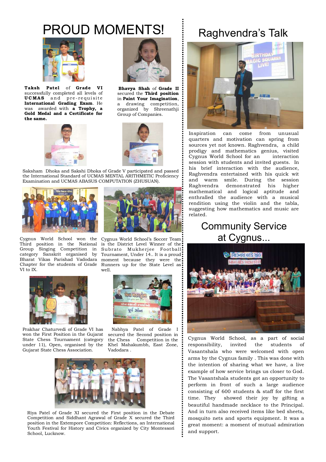### PROUD MOMENTS!



**Taksh Taksh Patel** of **Grade V I** successfully completed all levels of **UCMAS** and pre-requisite **International Grading Exam**. He was awarded with **a Trophy, a Gold Medal and a Certificate for the same.**



 **Bhavya Shah** of **Grade II** secured the **Third position** in **Paint Your Imagination**, a drawing competition, organized by Shreenathji Group of Companies.





Saksham Dhoka and Sakshi Dhoka of Grade V participated and passed the International Standard of UCMAS MENTAL ARITHMETIC Proficiency Examination and UCMAS ABASUS COMPUTATION (ZHUSUAN).



Cygnus World School won the Third position in the National is the District Level Winner of the Group Singing Competition in category Sanskrit organised by Bharat Vikas Parishad Vadodara Chapter for the students of Grade VI to IX.



Prakhar Chaturvedi of Grade VI has won the First Position in the Gujarat State Chess Tournament (category under 11), Open, organised by the Gujarat State Chess Association.



Subrato Mukherjee Football Tournament, Under 14.. It is a proud. moment because they were the Runners up for the State Level as well.



 Nabhya Patel of Grade I secured the Second position in the Chess Competition in the Khel Mahakumbh, East Zone, Vadodara .



 Riya Patel of Grade XI secured the First position in the Debate Competition and Siddhant Agrawal of Grade X secured the Third position in the Extempore Competition: Reflections, an International Youth Festival for History and Civics organized by City Montessori School, Lucknow.

### Raghvendra's Talk



Inspiration can come from unusual quarters and motivation can spring from sources yet not known. Raghvendra, a child prodigy and mathematics genius, visited Cygnus World School for an interaction session with students and invited guests. In his brief interaction with the audience, Raghvendra entertained with his quick wit and warm smile. During the session Raghvendra demonstrated his higher mathematical and logical aptitude and enthralled the audience with a musical rendition using the violin and the tabla, suggesting how mathematics and music are related.

### Community Service at Cygnus...



Cygnus World School, as a part of social responsibility, invited the students of Vasantshala who were welcomed with open arms by the Cygnus family . This was done with the intention of sharing what we have, a live example of how service brings us closer to God. The Vasantshala students got an opportunity to perform in front of such a large audience consisting of 600 students & staff for the first time. They showed their joy by gifting a beautiful handmade necklace to the Principal. And in turn also received items like bed sheets, mosquito nets and sports equipment. It was a great moment: a moment of mutual admiration and support.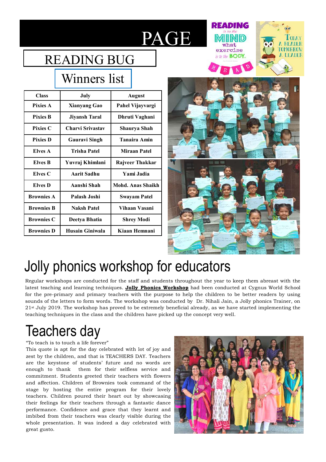# PAGE

### READING BUG

### Winners list

| <b>Class</b>      | July                 | <b>August</b>       |
|-------------------|----------------------|---------------------|
| <b>Pixies A</b>   | <b>Xianyang Gao</b>  | Pahel Vijayvargi    |
| <b>Pixies B</b>   | <b>Jiyansh Taral</b> | Dhruti Vaghani      |
| <b>Pixies C</b>   | Charvi Srivastav     | Shaurya Shah        |
| <b>Pixies D</b>   | <b>Gauravi Singh</b> | <b>Tanaira Amin</b> |
| <b>Elves A</b>    | Trisha Patel         | Miraan Patel        |
| <b>Elves B</b>    | Yuvraj Khimlani      | Rajveer Thakkar     |
| Elves C           | Aarit Sadhu          | Yami Jadia          |
| Elves D           | Aanshi Shah          | Mohd. Anas Shaikh   |
| <b>Brownies A</b> | Palash Joshi         | <b>Swayam Patel</b> |
| <b>Brownies B</b> | <b>Naksh Patel</b>   | Vihaan Vasani       |
| <b>Brownies C</b> | Deetya Bhatia        | Shrey Modi          |
| <b>Brownies D</b> | Husain Giniwala      | Kiaan Hemnani       |



**READING** 

what

exercise

is to the **BODY**.

MORROY

**A TEADER** 

## Jolly phonics workshop for educators

Regular workshops are conducted for the staff and students throughout the year to keep them abreast with the latest teaching and learning techniques. **Jolly Phonics Workshop** had been conducted at Cygnus World School for the pre-primary and primary teachers with the purpose to help the children to be better readers by using sounds of the letters to form words. The workshop was conducted by Dr. Nihali Jain, a Jolly phonics Trainer, on 21st July 2019. The workshop has proved to be extremely beneficial already, as we have started implementing the teaching techniques in the class and the children have picked up the concept very well.

# Teachers day

#### "To teach is to touch a life forever"

This quote is apt for the day celebrated with lot of joy and zest by the children, and that is TEACHERS DAY. Teachers are the keystone of students' future and no words are enough to thank them for their selfless service and commitment. Students greeted their teachers with flowers and affection. Children of Brownies took command of the stage by hosting the entire program for their lovely teachers. Children poured their heart out by showcasing their feelings for their teachers through a fantastic dance performance. Confidence and grace that they learnt and imbibed from their teachers was clearly visible during the whole presentation. It was indeed a day celebrated with great gusto.

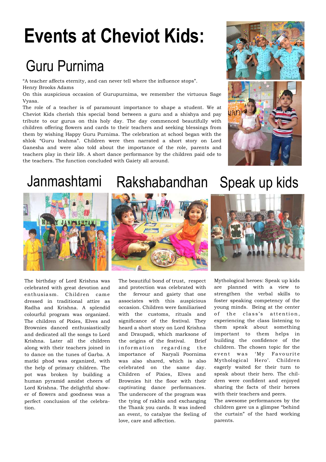# **Events at Cheviot Kids:**

### Guru Purnima

"A teacher affects eternity, and can never tell where the influence stops". Henry Brooks Adams

On this auspicious occasion of Gurupurnima, we remember the virtuous Sage Vyasa.

The role of a teacher is of paramount importance to shape a student. We at Cheviot Kids cherish this special bond between a guru and a shishya and pay tribute to our gurus on this holy day. The day commenced beautifully with children offering flowers and cards to their teachers and seeking blessings from them by wishing Happy Guru Purnima. The celebration at school began with the shlok "Guru brahma". Children were then narrated a short story on Lord Ganesha and were also told about the importance of the role, parents and teachers play in their life. A short dance performance by the children paid ode to the teachers. The function concluded with Gaiety all around.





The birthday of Lord Krishna was celebrated with great devotion and enthusiasm. Children came dressed in traditional attire as Radha and Krishna. A splendid colourful program was organized. The children of Pixies, Elves and Brownies danced enthusiastically and dedicated all the songs to Lord Krishna. Later all the children along with their teachers joined in to dance on the tunes of Garba. A matki phod was organized, with the help of primary children. The pot was broken by building a human pyramid amidst cheers of Lord Krishna. The delightful shower of flowers and goodness was a perfect conclusion of the celebration.



The beautiful bond of trust, respect and protection was celebrated with the fervour and gaiety that one associates with this auspicious occasion. Children were familiarised with the customs, rituals and significance of the festival. They heard a short story on Lord Krishna and Draupadi, which marksone of the origins of the festival. Brief information regarding the importance of Naryali Poornima was also shared, which is also celebrated on the same day. Children of Pixies, Elves and Brownies hit the floor with their captivating dance performances. The underscore of the program was the tying of rakhis and exchanging the Thank you cards. It was indeed an event, to catalyze the feeling of love, care and affection.

## Janmashtami Rakshabandhan Speak up kids



Mythological heroes: Speak up kids are planned with a view to strengthen the verbal skills to foster speaking competency of the young minds. Being at the center of the class's attention, experiencing the class listening to them speak about something important to them helps in building the confidence of the children. The chosen topic for the event was 'My Favourite Mythological Hero'. Children eagerly waited for their turn to speak about their hero. The children were confident and enjoyed sharing the facts of their heroes with their teachers and peers.

The awesome performances by the children gave us a glimpse "behind the curtain" of the hard working parents.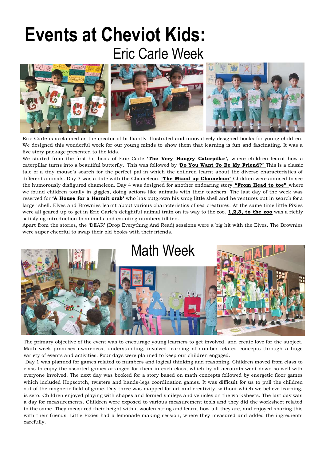# **Events at Cheviot Kids:** Eric Carle Week



Eric Carle is acclaimed as the creator of brilliantly illustrated and innovatively designed books for young children. We designed this wonderful week for our young minds to show them that learning is fun and fascinating. It was a five story package presented to the kids.

We started from the first hit book of Eric Carle **'The Very Hungry Caterpillar'**, where children learnt how a caterpillar turns into a beautiful butterfly. This was followed by "**Do You Want To Be My Friend?"** This is a classic tale of a tiny mouse"s search for the perfect pal in which the children learnt about the diverse characteristics of different animals. Day 3 was a date with the Chameleon. **"The Mixed up Chameleon"** Children were amused to see the humorously disfigured chameleon. Day 4 was designed for another endearing story **"From Head to toe"** where we found children totally in giggles, doing actions like animals with their teachers. The last day of the week was reserved for **"A House for a Hermit crab"** who has outgrown his snug little shell and he ventures out in search for a larger shell. Elves and Brownies learnt about various characteristics of sea creatures. At the same time little Pixies were all geared up to get in Eric Carle"s delightful animal train on its way to the zoo. **1,2,3, to the zoo** was a richly satisfying introduction to animals and counting numbers till ten.

Apart from the stories, the "DEAR" (Drop Everything And Read) sessions were a big hit with the Elves. The Brownies were super cheerful to swap their old books with their friends.



The primary objective of the event was to encourage young learners to get involved, and create love for the subject. Math week promises awareness, understanding, involved learning of number related concepts through a huge variety of events and activities. Four days were planned to keep our children engaged.

Day 1 was planned for games related to numbers and logical thinking and reasoning. Children moved from class to class to enjoy the assorted games arranged for them in each class, which by all accounts went down so well with everyone involved. The next day was booked for a story based on math concepts followed by energetic floor games which included Hopscotch, twisters and hands-legs coordination games. It was difficult for us to pull the children out of the magnetic field of game. Day three was mapped for art and creativity, without which we believe learning, is zero. Children enjoyed playing with shapes and formed smileys and vehicles on the worksheets. The last day was a day for measurements. Children were exposed to various measurement tools and they did the worksheet related to the same. They measured their height with a woolen string and learnt how tall they are, and enjoyed sharing this with their friends. Little Pixies had a lemonade making session, where they measured and added the ingredients carefully.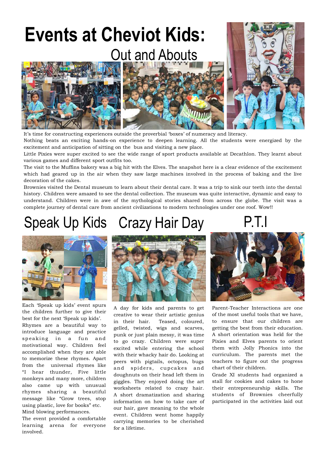# **Events at Cheviot Kids:** Out and Abouts



It's time for constructing experiences outside the proverbial 'boxes' of numeracy and literacy.

Nothing beats an exciting hands-on experience to deepen learning. All the students were energized by the excitement and anticipation of sitting on the bus and visiting a new place.

Little Pixies were super excited to see the wide range of sport products available at Decathlon. They learnt about various games and different sport outfits too.

The visit to the Muffins bakery was a big hit with the Elves. The snapshot here is a clear evidence of the excitement which had geared up in the air when they saw large machines involved in the process of baking and the live decoration of the cakes.

Brownies visited the Dental museum to learn about their dental care. It was a trip to sink our teeth into the dental history. Children were amazed to see the dental collection. The museum was quite interactive, dynamic and easy to understand. Children were in awe of the mythological stories shared from across the globe. The visit was a complete journey of dental care from ancient civilizations to modern technologies under one roof. Wow!!

### Speak Up Kids Crazy Hair Day P.T.I



Each "Speak up kids" event spurs the children further to give their best for the next "Speak up kids".

Rhymes are a beautiful way to introduce language and practice sp eaking in a fun and motivational way. Children feel accomplished when they are able to memorize these rhymes. Apart from the universal rhymes like "I hear thunder, Five little monkeys and many more, children also came up with unusual rhymes sharing a beautiful message like "Grow trees, stop using plastic, love for books" etc. Mind blowing performances.

The event provided a comfortable learning arena for everyone involved.



A day for kids and parents to get creative to wear their artistic genius in their hair. Teased, coloured, gelled, twisted, wigs and scarves, punk or just plain messy, it was time to go crazy. Children were super excited while entering the school with their whacky hair do. Looking at peers with pigtails, octopus, bugs and spiders, cupcakes and doughnuts on their head left them in giggles. They enjoyed doing the art worksheets related to crazy hair. A short dramatization and sharing information on how to take care of our hair, gave meaning to the whole event. Children went home happily carrying memories to be cherished for a lifetime.



Parent-Teacher Interactions are one of the most useful tools that we have, to ensure that our children are getting the best from their education. A short orientation was held for the Pixies and Elves parents to orient them with Jolly Phonics into the curriculum. The parents met the teachers to figure out the progress chart of their children.

Grade XI students had organized a stall for cookies and cakes to hone their entrepreneurship skills. The students of Brownies cheerfully participated in the activities laid out